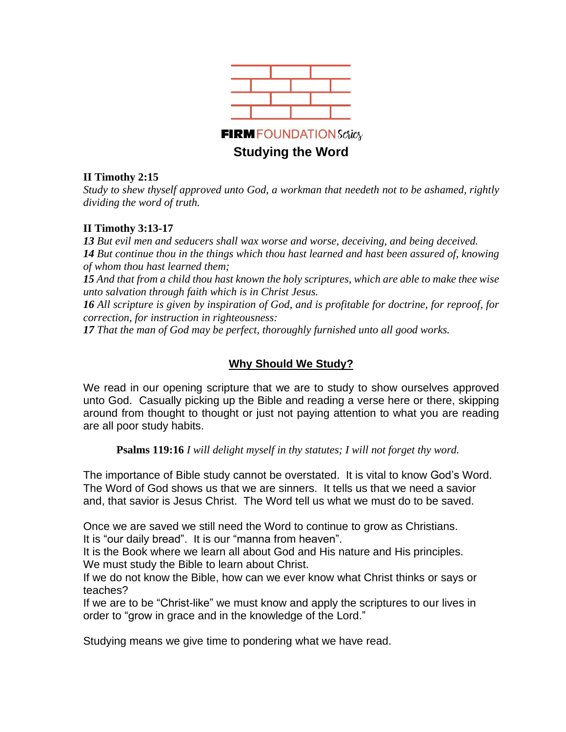

#### **II Timothy 2:15**

*Study to shew thyself approved unto God, a workman that needeth not to be ashamed, rightly dividing the word of truth.*

#### **II Timothy 3:13-17**

*13 But evil men and seducers shall wax worse and worse, deceiving, and being deceived. 14 But continue thou in the things which thou hast learned and hast been assured of, knowing of whom thou hast learned them;*

15 And that from a child thou hast known the holy scriptures, which are able to make thee wise *unto salvation through faith which is in Christ Jesus.*

*16 All scripture is given by inspiration of God, and is profitable for doctrine, for reproof, for correction, for instruction in righteousness:*

*17 That the man of God may be perfect, thoroughly furnished unto all good works.*

# **Why Should We Study?**

We read in our opening scripture that we are to study to show ourselves approved unto God. Casually picking up the Bible and reading a verse here or there, skipping around from thought to thought or just not paying attention to what you are reading are all poor study habits.

**Psalms 119:16** *I will delight myself in thy statutes; I will not forget thy word.*

The importance of Bible study cannot be overstated. It is vital to know God's Word. The Word of God shows us that we are sinners. It tells us that we need a savior and, that savior is Jesus Christ. The Word tell us what we must do to be saved.

Once we are saved we still need the Word to continue to grow as Christians. It is "our daily bread". It is our "manna from heaven".

It is the Book where we learn all about God and His nature and His principles. We must study the Bible to learn about Christ.

If we do not know the Bible, how can we ever know what Christ thinks or says or teaches?

If we are to be "Christ-like" we must know and apply the scriptures to our lives in order to "grow in grace and in the knowledge of the Lord."

Studying means we give time to pondering what we have read.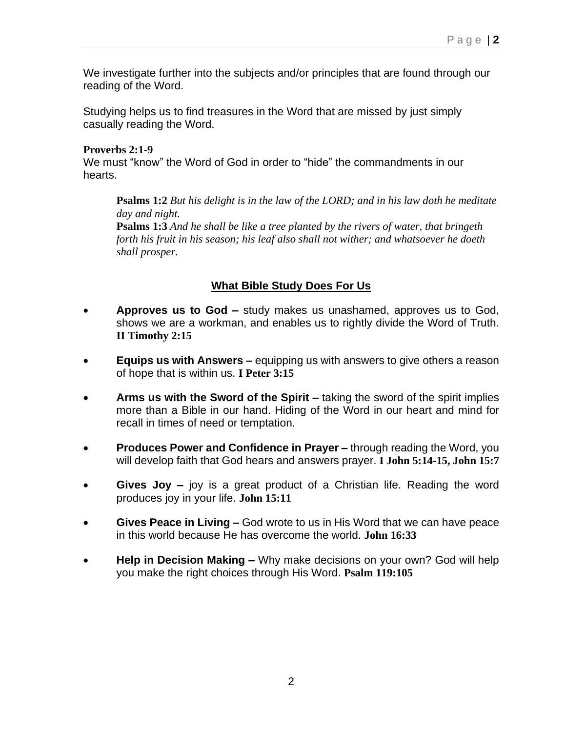We investigate further into the subjects and/or principles that are found through our reading of the Word.

Studying helps us to find treasures in the Word that are missed by just simply casually reading the Word.

## **Proverbs 2:1-9**

We must "know" the Word of God in order to "hide" the commandments in our hearts.

**Psalms 1:2** *But his delight is in the law of the LORD; and in his law doth he meditate day and night.*

**Psalms 1:3** *And he shall be like a tree planted by the rivers of water, that bringeth forth his fruit in his season; his leaf also shall not wither; and whatsoever he doeth shall prosper.*

# **What Bible Study Does For Us**

- **Approves us to God –** study makes us unashamed, approves us to God, shows we are a workman, and enables us to rightly divide the Word of Truth. **II Timothy 2:15**
- **Equips us with Answers –** equipping us with answers to give others a reason of hope that is within us. **I Peter 3:15**
- **Arms us with the Sword of the Spirit –** taking the sword of the spirit implies more than a Bible in our hand. Hiding of the Word in our heart and mind for recall in times of need or temptation.
- **Produces Power and Confidence in Prayer –** through reading the Word, you will develop faith that God hears and answers prayer. **I John 5:14-15, John 15:7**
- **Gives Joy –** joy is a great product of a Christian life. Reading the word produces joy in your life. **John 15:11**
- **Gives Peace in Living –** God wrote to us in His Word that we can have peace in this world because He has overcome the world. **John 16:33**
- **Help in Decision Making –** Why make decisions on your own? God will help you make the right choices through His Word. **Psalm 119:105**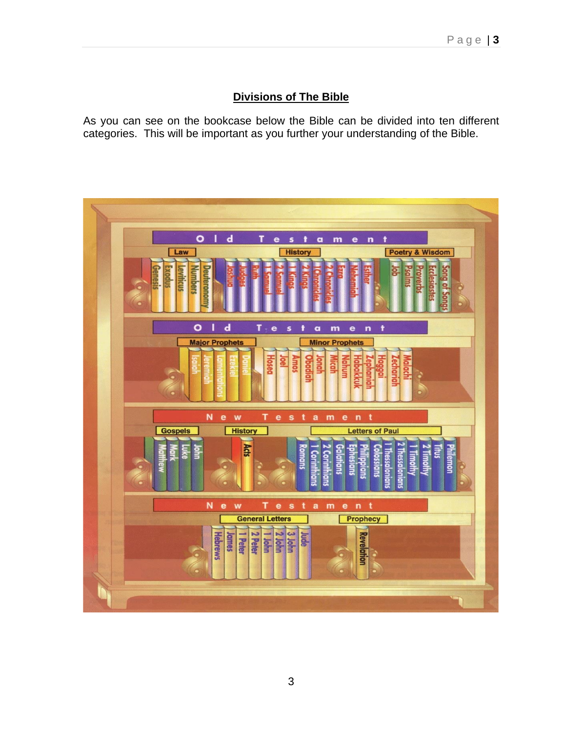## **Divisions of The Bible**

As you can see on the bookcase below the Bible can be divided into ten different categories. This will be important as you further your understanding of the Bible.

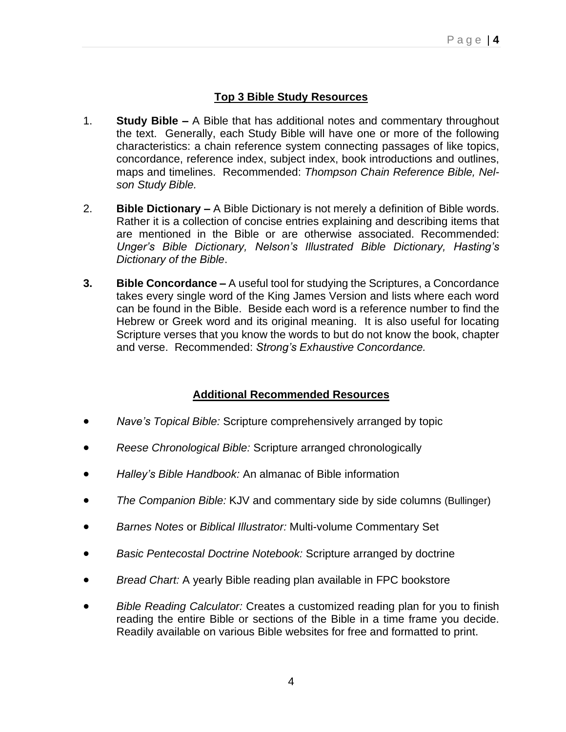# **Top 3 Bible Study Resources**

- 1. **Study Bible –** A Bible that has additional notes and commentary throughout the text. Generally, each Study Bible will have one or more of the following characteristics: a chain reference system connecting passages of like topics, concordance, reference index, subject index, book introductions and outlines, maps and timelines. Recommended: *Thompson Chain Reference Bible, Nelson Study Bible.*
- 2. **Bible Dictionary –** A Bible Dictionary is not merely a definition of Bible words. Rather it is a collection of concise entries explaining and describing items that are mentioned in the Bible or are otherwise associated. Recommended: *Unger's Bible Dictionary, Nelson's Illustrated Bible Dictionary, Hasting's Dictionary of the Bible*.
- **3. Bible Concordance –** A useful tool for studying the Scriptures, a Concordance takes every single word of the King James Version and lists where each word can be found in the Bible. Beside each word is a reference number to find the Hebrew or Greek word and its original meaning. It is also useful for locating Scripture verses that you know the words to but do not know the book, chapter and verse. Recommended: *Strong's Exhaustive Concordance.*

# **Additional Recommended Resources**

- *Nave's Topical Bible:* Scripture comprehensively arranged by topic
- *Reese Chronological Bible:* Scripture arranged chronologically
- *Halley's Bible Handbook:* An almanac of Bible information
- *The Companion Bible:* KJV and commentary side by side columns (Bullinger)
- *Barnes Notes* or *Biblical Illustrator:* Multi-volume Commentary Set
- *Basic Pentecostal Doctrine Notebook:* Scripture arranged by doctrine
- *Bread Chart:* A yearly Bible reading plan available in FPC bookstore
- *Bible Reading Calculator:* Creates a customized reading plan for you to finish reading the entire Bible or sections of the Bible in a time frame you decide. Readily available on various Bible websites for free and formatted to print.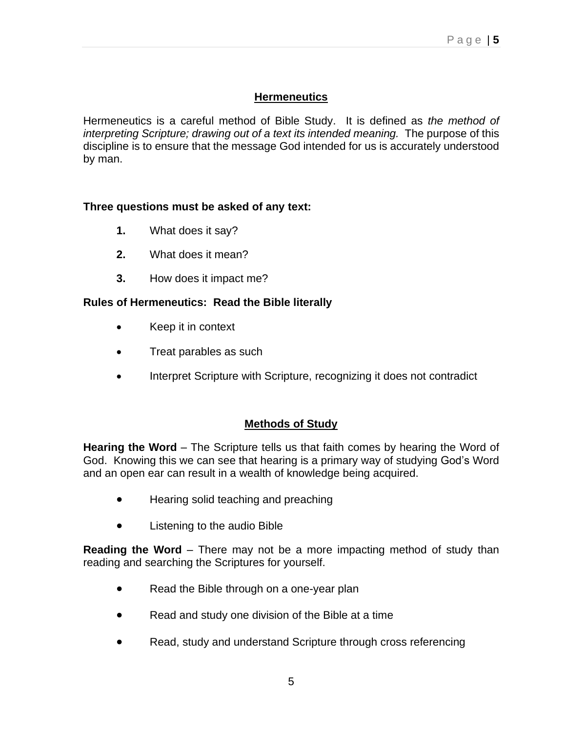# **Hermeneutics**

Hermeneutics is a careful method of Bible Study. It is defined as *the method of interpreting Scripture; drawing out of a text its intended meaning.* The purpose of this discipline is to ensure that the message God intended for us is accurately understood by man.

## **Three questions must be asked of any text:**

- **1.** What does it say?
- **2.** What does it mean?
- **3.** How does it impact me?

## **Rules of Hermeneutics: Read the Bible literally**

- Keep it in context
- Treat parables as such
- Interpret Scripture with Scripture, recognizing it does not contradict

#### **Methods of Study**

**Hearing the Word** – The Scripture tells us that faith comes by hearing the Word of God. Knowing this we can see that hearing is a primary way of studying God's Word and an open ear can result in a wealth of knowledge being acquired.

- Hearing solid teaching and preaching
- Listening to the audio Bible

**Reading the Word** – There may not be a more impacting method of study than reading and searching the Scriptures for yourself.

- Read the Bible through on a one-year plan
- Read and study one division of the Bible at a time
- Read, study and understand Scripture through cross referencing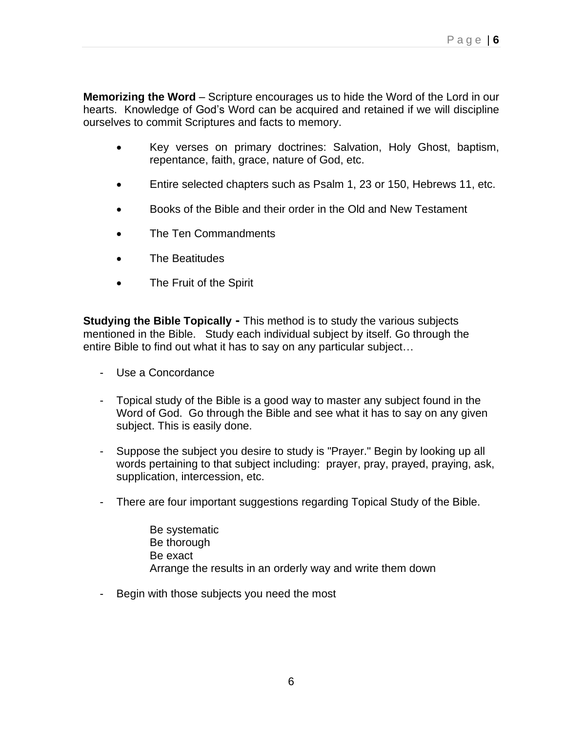**Memorizing the Word** – Scripture encourages us to hide the Word of the Lord in our hearts. Knowledge of God's Word can be acquired and retained if we will discipline ourselves to commit Scriptures and facts to memory.

- Key verses on primary doctrines: Salvation, Holy Ghost, baptism, repentance, faith, grace, nature of God, etc.
- Entire selected chapters such as Psalm 1, 23 or 150, Hebrews 11, etc.
- Books of the Bible and their order in the Old and New Testament
- The Ten Commandments
- The Beatitudes
- The Fruit of the Spirit

**Studying the Bible Topically -** This method is to study the various subjects mentioned in the Bible. Study each individual subject by itself. Go through the entire Bible to find out what it has to say on any particular subject…

- Use a Concordance
- Topical study of the Bible is a good way to master any subject found in the Word of God. Go through the Bible and see what it has to say on any given subject. This is easily done.
- Suppose the subject you desire to study is "Prayer." Begin by looking up all words pertaining to that subject including: prayer, pray, prayed, praying, ask, supplication, intercession, etc.
- There are four important suggestions regarding Topical Study of the Bible.

 Be systematic Be thorough Be exact Arrange the results in an orderly way and write them down

- Begin with those subjects you need the most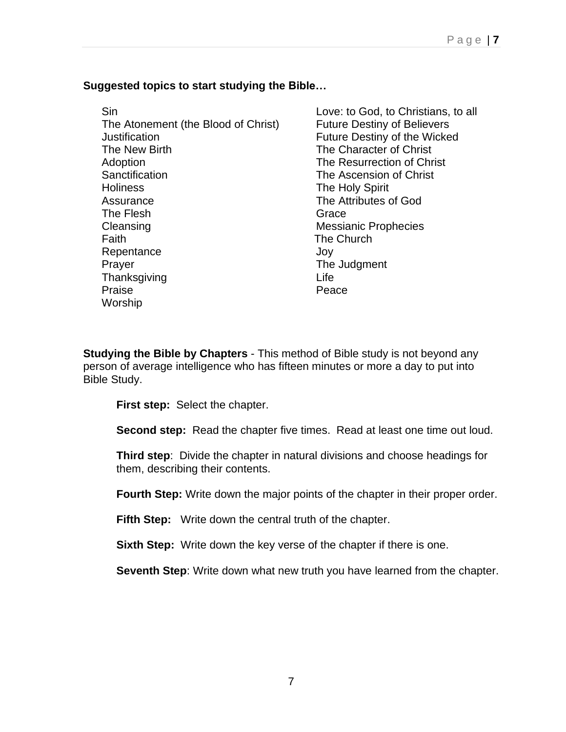# **Suggested topics to start studying the Bible…**

**Sin Sin Love:** to God, to Christians, to all The Atonement (the Blood of Christ) Future Destiny of Believers Justification **Future Destiny of the Wicked** The New Birth The Character of Christ Adoption The Resurrection of Christ Sanctification The Ascension of Christ Holiness The Holy Spirit Assurance The Attributes of God The Flesh Grace Grace Cleansing Cleansing Cleansing Messianic Prophecies Faith The Church Repentance Joy Prayer The Judgment Thanksgiving **Life** Praise **Praise Worship** 

**Studying the Bible by Chapters** - This method of Bible study is not beyond any person of average intelligence who has fifteen minutes or more a day to put into Bible Study.

**First step:** Select the chapter.

**Second step:** Read the chapter five times. Read at least one time out loud.

**Third step**: Divide the chapter in natural divisions and choose headings for them, describing their contents.

**Fourth Step:** Write down the major points of the chapter in their proper order.

**Fifth Step:** Write down the central truth of the chapter.

**Sixth Step:** Write down the key verse of the chapter if there is one.

**Seventh Step**: Write down what new truth you have learned from the chapter.